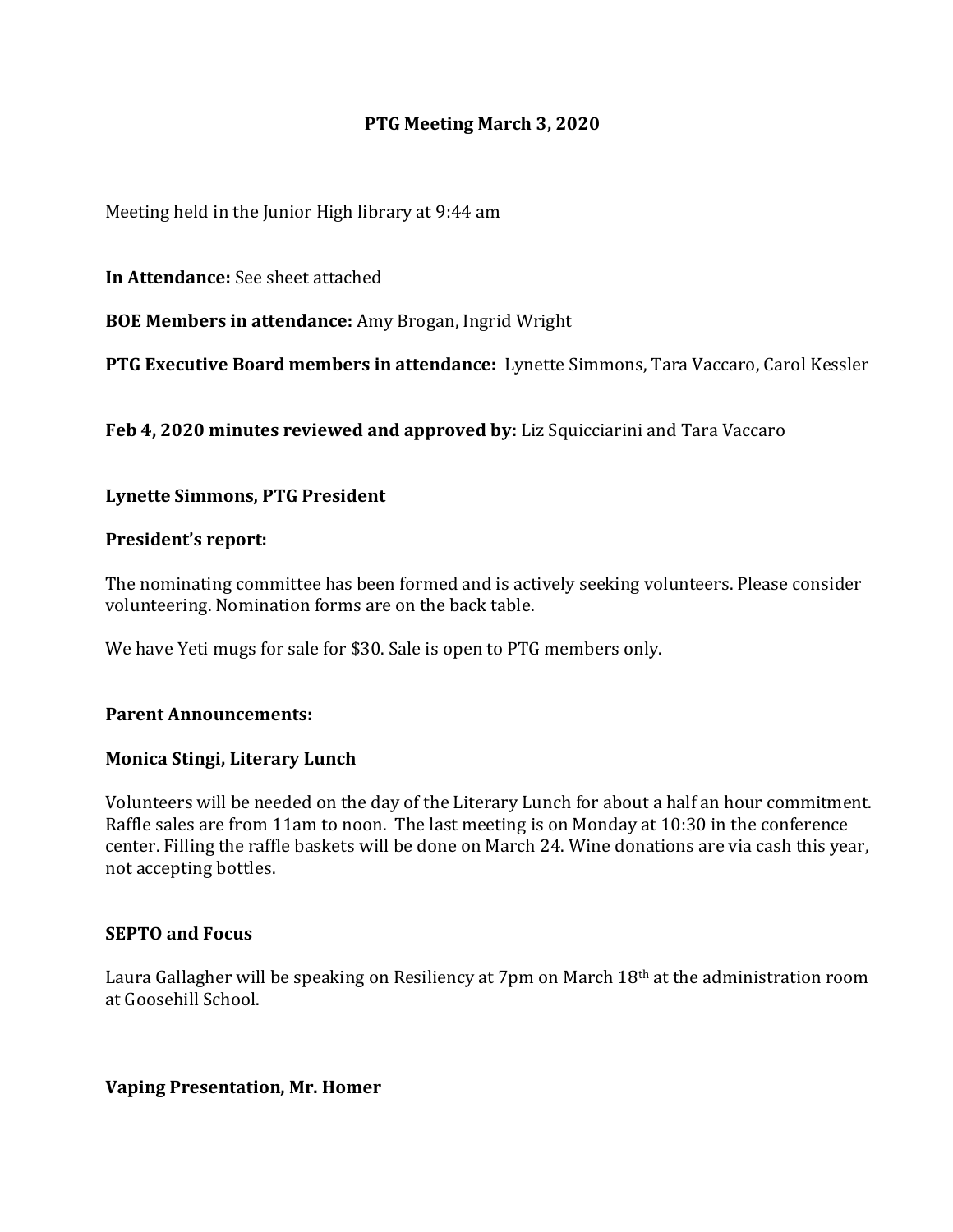# **PTG Meeting March 3, 2020**

Meeting held in the Junior High library at 9:44 am

**In Attendance:** See sheet attached

**BOE Members in attendance:** Amy Brogan, Ingrid Wright

**PTG Executive Board members in attendance:** Lynette Simmons, Tara Vaccaro, Carol Kessler

**Feb 4, 2020 minutes reviewed and approved by:** Liz Squicciarini and Tara Vaccaro

## **Lynette Simmons, PTG President**

### President's report:

The nominating committee has been formed and is actively seeking volunteers. Please consider volunteering. Nomination forms are on the back table.

We have Yeti mugs for sale for \$30. Sale is open to PTG members only.

## **Parent Announcements:**

## **Monica Stingi, Literary Lunch**

Volunteers will be needed on the day of the Literary Lunch for about a half an hour commitment. Raffle sales are from 11am to noon. The last meeting is on Monday at  $10:30$  in the conference center. Filling the raffle baskets will be done on March 24. Wine donations are via cash this year, not accepting bottles.

## **SEPTO** and Focus

Laura Gallagher will be speaking on Resiliency at  $7$ pm on March  $18<sup>th</sup>$  at the administration room at Goosehill School.

## **Vaping Presentation, Mr. Homer**